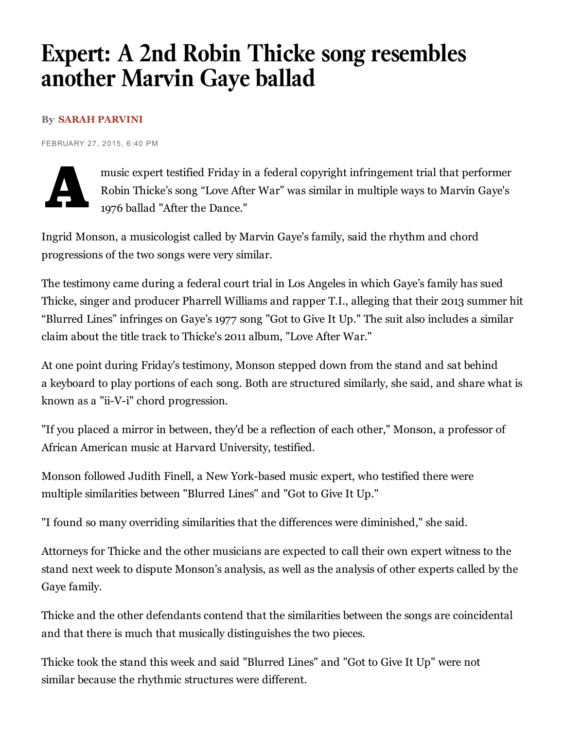## Expert: A 2nd Robin Thicke song resembles another Marvin Gaye ballad

## By SARAH [PARVINI](http://www.latimes.com/la-bio-sarah-parvini-staff.html)

FEBRUARY 27, 2015, 6:40 PM



music expert testified Friday in a federal copyright infringement trial that performer Robin Thicke's song "Love After War" was similar in multiple ways to Marvin Gaye's 1976 ballad "After the Dance."

Ingrid Monson, a musicologist called by Marvin Gaye's family, said the rhythm and chord progressions of the two songs were very similar.

The testimony came during a federal court trial in Los Angeles in which Gaye's family has sued Thicke, singer and producer Pharrell Williams and rapper T.I., alleging that their 2013 summer hit "Blurred Lines" infringes on Gaye's 1977 song "Got to Give It Up." The suit also includes a similar claim about the title track to Thicke's 2011 album, "Love After War."

At one point during Friday's testimony, Monson stepped down from the stand and sat behind a keyboard to play portions of each song. Both are structured similarly, she said, and share what is known as a "ii-V-i" chord progression.

"If you placed a mirror in between, they'd be a reflection of each other," Monson, a professor of African American music at Harvard University, testified.

Monson followed Judith Finell, a New York-based music expert, who testified there were multiple similarities between "Blurred Lines" and "Got to Give It Up."

"I found so many overriding similarities that the differences were diminished," she said.

Attorneys for Thicke and the other musicians are expected to call their own expert witness to the stand next week to dispute Monson's analysis, as well as the analysis of other experts called by the Gaye family.

Thicke and the other defendants contend that the similarities between the songs are coincidental and that there is much that musically distinguishes the two pieces.

Thicke took the stand this week and said "Blurred Lines" and "Got to Give It Up" were not similar because the rhythmic structures were different.